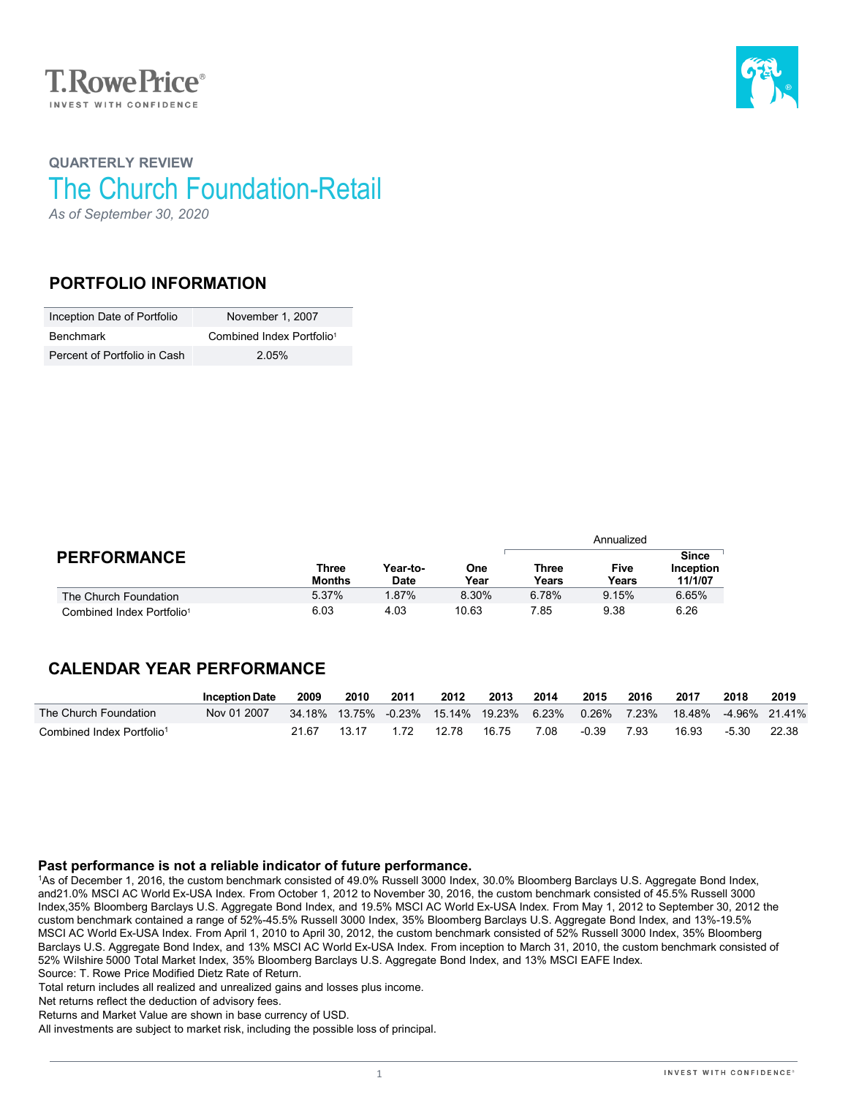



# **QUARTERLY REVIEW** The Church Foundation-Retail

*As of September 30, 2020*

### **PORTFOLIO INFORMATION**

| Inception Date of Portfolio  | November 1, 2007                      |
|------------------------------|---------------------------------------|
| Benchmark                    | Combined Index Portfolio <sup>1</sup> |
| Percent of Portfolio in Cash | 2 05%                                 |

|                                       |                        |                         |             | Annualized            |               |                                      |  |  |
|---------------------------------------|------------------------|-------------------------|-------------|-----------------------|---------------|--------------------------------------|--|--|
| <b>PERFORMANCE</b>                    | Three<br><b>Months</b> | Year-to-<br><b>Date</b> | One<br>Year | <b>Three</b><br>Years | Five<br>Years | <b>Since</b><br>Inception<br>11/1/07 |  |  |
| The Church Foundation                 | 5.37%                  | 1.87%                   | 8.30%       | 6.78%                 | 9.15%         | 6.65%                                |  |  |
| Combined Index Portfolio <sup>1</sup> | 6.03                   | 4.03                    | 10.63       | 7.85                  | 9.38          | 6.26                                 |  |  |

## **CALENDAR YEAR PERFORMANCE**

|                                       | <b>Inception Date</b> | 2009  | 2010  | 2011 | 2012                                     | 2013  | 2014 | 2015  | 2016 | 2017                       | 2018    | 2019  |
|---------------------------------------|-----------------------|-------|-------|------|------------------------------------------|-------|------|-------|------|----------------------------|---------|-------|
| The Church Foundation                 | Nov 01 2007           |       |       |      | 34.18% 13.75% -0.23% 15.14% 19.23% 6.23% |       |      | 0.26% |      | 7.23% 18.48% -4.96% 21.41% |         |       |
| Combined Index Portfolio <sup>1</sup> |                       | 21.67 | 13 17 | 172  | 12.78                                    | 16 75 | 7.08 | -0.39 | 7.93 | 16.93                      | $-5.30$ | 22.38 |

#### **Past performance is not a reliable indicator of future performance.**

1As of December 1, 2016, the custom benchmark consisted of 49.0% Russell 3000 Index, 30.0% Bloomberg Barclays U.S. Aggregate Bond Index, and21.0% MSCI AC World Ex-USA Index. From October 1, 2012 to November 30, 2016, the custom benchmark consisted of 45.5% Russell 3000 Index,35% Bloomberg Barclays U.S. Aggregate Bond Index, and 19.5% MSCI AC World Ex-USA Index. From May 1, 2012 to September 30, 2012 the custom benchmark contained a range of 52%-45.5% Russell 3000 Index, 35% Bloomberg Barclays U.S. Aggregate Bond Index, and 13%-19.5% MSCI AC World Ex-USA Index. From April 1, 2010 to April 30, 2012, the custom benchmark consisted of 52% Russell 3000 Index, 35% Bloomberg Barclays U.S. Aggregate Bond Index, and 13% MSCI AC World Ex-USA Index. From inception to March 31, 2010, the custom benchmark consisted of 52% Wilshire 5000 Total Market Index, 35% Bloomberg Barclays U.S. Aggregate Bond Index, and 13% MSCI EAFE Index. Source: T. Rowe Price Modified Dietz Rate of Return.

Total return includes all realized and unrealized gains and losses plus income.

Net returns reflect the deduction of advisory fees.

Returns and Market Value are shown in base currency of USD.

All investments are subject to market risk, including the possible loss of principal.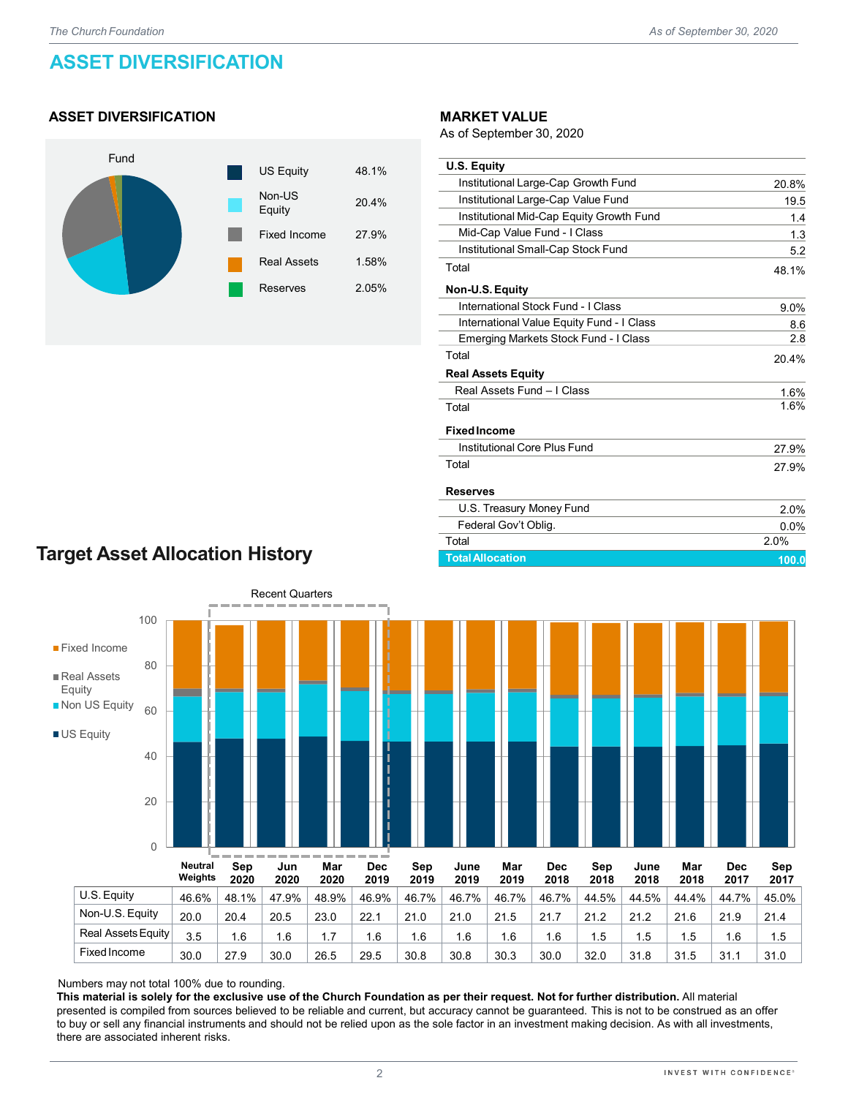# **ASSET DIVERSIFICATION**

#### **ASSET DIVERSIFICATION**



#### **MARKET VALUE**

As of September 30, 2020

| <b>U.S. Equity</b>                        |       |
|-------------------------------------------|-------|
| Institutional Large-Cap Growth Fund       | 20.8% |
| Institutional Large-Cap Value Fund        | 19.5  |
| Institutional Mid-Cap Equity Growth Fund  | 1.4   |
| Mid-Cap Value Fund - I Class              | 1.3   |
| Institutional Small-Cap Stock Fund        | 5.2   |
| Total                                     | 48.1% |
| Non-U.S. Equity                           |       |
| International Stock Fund - I Class        | 9.0%  |
| International Value Equity Fund - I Class | 8.6   |
| Emerging Markets Stock Fund - I Class     | 2.8   |
| Total                                     | 20.4% |
| <b>Real Assets Equity</b>                 |       |
| Real Assets Fund - I Class                | 1.6%  |
| Total                                     | 1.6%  |
| <b>Fixed Income</b>                       |       |
| Institutional Core Plus Fund              | 27.9% |
| Total                                     | 27.9% |
| <b>Reserves</b>                           |       |
| U.S. Treasury Money Fund                  | 2.0%  |
| Federal Gov't Oblig.                      | 0.0%  |
| Total                                     | 2.0%  |
| <b>Total Allocation</b>                   | 100.0 |

# **Target Asset Allocation History**



Numbers may not total 100% due to rounding.

**This material is solely for the exclusive use of the Church Foundation as per their request. Not for further distribution.** All material presented is compiled from sources believed to be reliable and current, but accuracy cannot be guaranteed. This is not to be construed as an offer to buy or sell any financial instruments and should not be relied upon as the sole factor in an investment making decision. As with all investments, there are associated inherent risks.